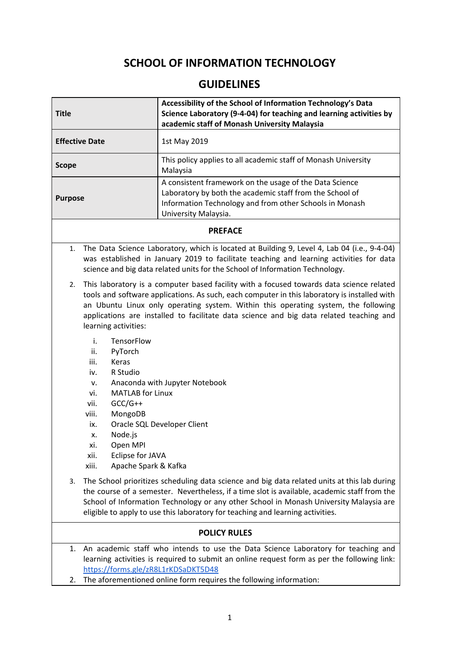## **SCHOOL OF INFORMATION TECHNOLOGY**

## **GUIDELINES**

| <b>Title</b>          | Accessibility of the School of Information Technology's Data<br>Science Laboratory (9-4-04) for teaching and learning activities by<br>academic staff of Monash University Malaysia                    |
|-----------------------|--------------------------------------------------------------------------------------------------------------------------------------------------------------------------------------------------------|
| <b>Effective Date</b> | 1st May 2019                                                                                                                                                                                           |
| <b>Scope</b>          | This policy applies to all academic staff of Monash University<br>Malaysia                                                                                                                             |
| <b>Purpose</b>        | A consistent framework on the usage of the Data Science<br>Laboratory by both the academic staff from the School of<br>Information Technology and from other Schools in Monash<br>University Malaysia. |
|                       |                                                                                                                                                                                                        |

## **PREFACE**

- 1. The Data Science Laboratory, which is located at Building 9, Level 4, Lab 04 (i.e., 9-4-04) was established in January 2019 to facilitate teaching and learning activities for data science and big data related units for the School of Information Technology.
- 2. This laboratory is a computer based facility with a focused towards data science related tools and software applications. As such, each computer in this laboratory is installed with an Ubuntu Linux only operating system. Within this operating system, the following applications are installed to facilitate data science and big data related teaching and learning activities:
	- i. TensorFlow
	- ii. PyTorch
	- iii. Keras
	- iv. R Studio
	- v. Anaconda with Jupyter Notebook
	- vi. MATLAB for Linux
	- vii. GCC/G++
	- viii. MongoDB
	- ix. Oracle SQL Developer Client
	- x. Node.js
	- xi. Open MPI
	- xii. Eclipse for JAVA
	- xiii. Apache Spark & Kafka
- 3. The School prioritizes scheduling data science and big data related units at this lab during the course of a semester. Nevertheless, if a time slot is available, academic staff from the School of Information Technology or any other School in Monash University Malaysia are eligible to apply to use this laboratory for teaching and learning activities.

## **POLICY RULES**

- 1. An academic staff who intends to use the Data Science Laboratory for teaching and learning activities is required to submit an online request form as per the following link: <https://forms.gle/zR8L1rKDSaDKT5D48>
- 2. The aforementioned online form requires the following information: